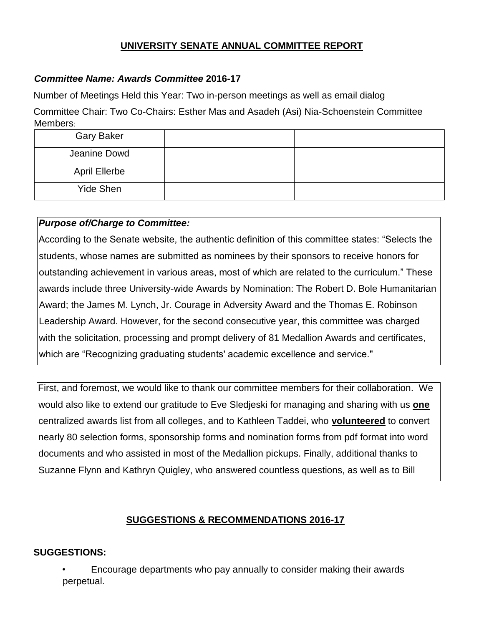## **UNIVERSITY SENATE ANNUAL COMMITTEE REPORT**

#### *Committee Name: Awards Committee* **2016-17**

Number of Meetings Held this Year: Two in-person meetings as well as email dialog

Committee Chair: Two Co-Chairs: Esther Mas and Asadeh (Asi) Nia-Schoenstein Committee Members:

| <b>Gary Baker</b>    |  |
|----------------------|--|
| Jeanine Dowd         |  |
| <b>April Ellerbe</b> |  |
| Yide Shen            |  |

## *Purpose of/Charge to Committee:*

According to the Senate website, the authentic definition of this committee states: "Selects the students, whose names are submitted as nominees by their sponsors to receive honors for outstanding achievement in various areas, most of which are related to the curriculum." These awards include three University-wide Awards by Nomination: The Robert D. Bole Humanitarian Award; the James M. Lynch, Jr. Courage in Adversity Award and the Thomas E. Robinson Leadership Award. However, for the second consecutive year, this committee was charged with the solicitation, processing and prompt delivery of 81 Medallion Awards and certificates, which are "Recognizing graduating students' academic excellence and service."

First, and foremost, we would like to thank our committee members for their collaboration. We would also like to extend our gratitude to Eve Sledjeski for managing and sharing with us **one** centralized awards list from all colleges, and to Kathleen Taddei, who **volunteered** to convert nearly 80 selection forms, sponsorship forms and nomination forms from pdf format into word documents and who assisted in most of the Medallion pickups. Finally, additional thanks to Suzanne Flynn and Kathryn Quigley, who answered countless questions, as well as to Bill

# **SUGGESTIONS & RECOMMENDATIONS 2016-17**

#### **SUGGESTIONS:**

• Encourage departments who pay annually to consider making their awards perpetual.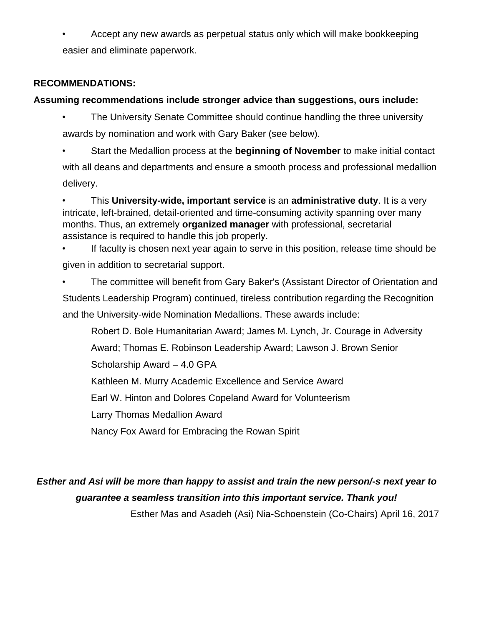• Accept any new awards as perpetual status only which will make bookkeeping easier and eliminate paperwork.

#### **RECOMMENDATIONS:**

## **Assuming recommendations include stronger advice than suggestions, ours include:**

- The University Senate Committee should continue handling the three university awards by nomination and work with Gary Baker (see below).
- Start the Medallion process at the **beginning of November** to make initial contact with all deans and departments and ensure a smooth process and professional medallion delivery.

• This **University-wide, important service** is an **administrative duty**. It is a very intricate, left-brained, detail-oriented and time-consuming activity spanning over many months. Thus, an extremely **organized manager** with professional, secretarial assistance is required to handle this job properly.

If faculty is chosen next year again to serve in this position, release time should be given in addition to secretarial support.

• The committee will benefit from Gary Baker's (Assistant Director of Orientation and Students Leadership Program) continued, tireless contribution regarding the Recognition and the University-wide Nomination Medallions. These awards include:

Robert D. Bole Humanitarian Award; James M. Lynch, Jr. Courage in Adversity Award; Thomas E. Robinson Leadership Award; Lawson J. Brown Senior Scholarship Award – 4.0 GPA Kathleen M. Murry Academic Excellence and Service Award Earl W. Hinton and Dolores Copeland Award for Volunteerism

Larry Thomas Medallion Award

Nancy Fox Award for Embracing the Rowan Spirit

# *Esther and Asi will be more than happy to assist and train the new person/-s next year to guarantee a seamless transition into this important service. Thank you!*

Esther Mas and Asadeh (Asi) Nia-Schoenstein (Co-Chairs) April 16, 2017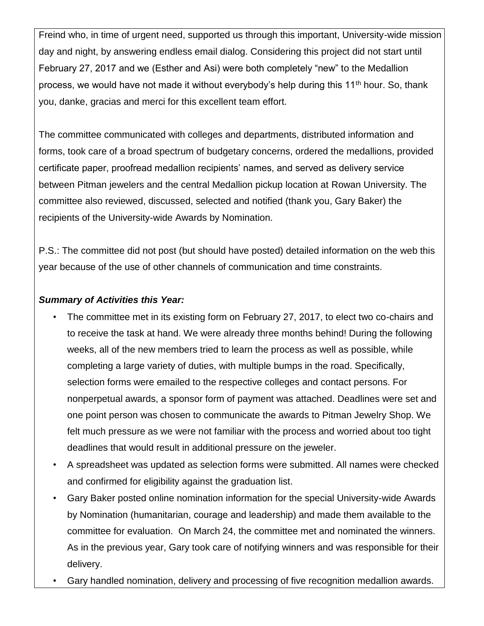Freind who, in time of urgent need, supported us through this important, University-wide mission day and night, by answering endless email dialog. Considering this project did not start until February 27, 2017 and we (Esther and Asi) were both completely "new" to the Medallion process, we would have not made it without everybody's help during this 11<sup>th</sup> hour. So, thank you, danke, gracias and merci for this excellent team effort.

The committee communicated with colleges and departments, distributed information and forms, took care of a broad spectrum of budgetary concerns, ordered the medallions, provided certificate paper, proofread medallion recipients' names, and served as delivery service between Pitman jewelers and the central Medallion pickup location at Rowan University. The committee also reviewed, discussed, selected and notified (thank you, Gary Baker) the recipients of the University-wide Awards by Nomination.

P.S.: The committee did not post (but should have posted) detailed information on the web this year because of the use of other channels of communication and time constraints.

## *Summary of Activities this Year:*

- The committee met in its existing form on February 27, 2017, to elect two co-chairs and to receive the task at hand. We were already three months behind! During the following weeks, all of the new members tried to learn the process as well as possible, while completing a large variety of duties, with multiple bumps in the road. Specifically, selection forms were emailed to the respective colleges and contact persons. For nonperpetual awards, a sponsor form of payment was attached. Deadlines were set and one point person was chosen to communicate the awards to Pitman Jewelry Shop. We felt much pressure as we were not familiar with the process and worried about too tight deadlines that would result in additional pressure on the jeweler.
- A spreadsheet was updated as selection forms were submitted. All names were checked and confirmed for eligibility against the graduation list.
- Gary Baker posted online nomination information for the special University-wide Awards by Nomination (humanitarian, courage and leadership) and made them available to the committee for evaluation. On March 24, the committee met and nominated the winners. As in the previous year, Gary took care of notifying winners and was responsible for their delivery.
- Gary handled nomination, delivery and processing of five recognition medallion awards.